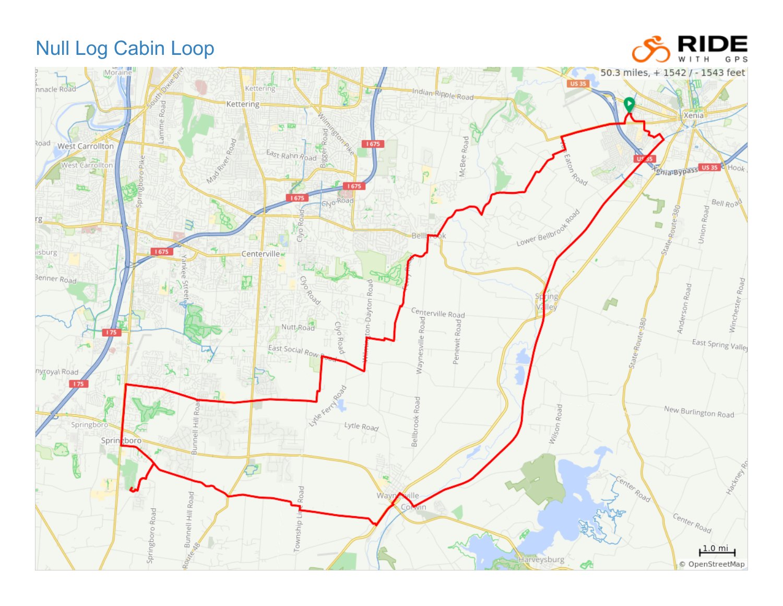## Null Log Cabin Loop



DE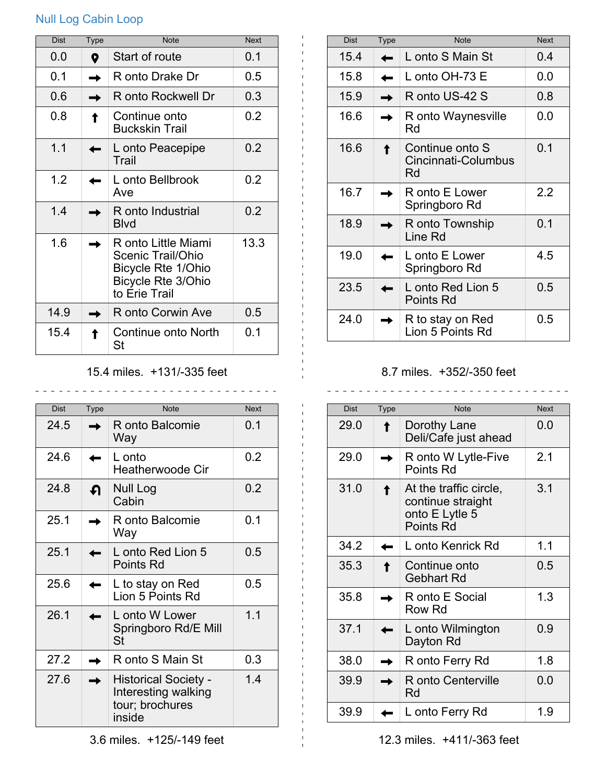## Null Log Cabin Loop

| <b>Dist</b> | <b>Type</b> | <b>Note</b>                                                                                                  | <b>Next</b> |
|-------------|-------------|--------------------------------------------------------------------------------------------------------------|-------------|
| 0.0         | Q           | Start of route                                                                                               | 0.1         |
| 0.1         |             | R onto Drake Dr                                                                                              | 0.5         |
| 0.6         |             | R onto Rockwell Dr                                                                                           | 0.3         |
| 0.8         |             | Continue onto<br><b>Buckskin Trail</b>                                                                       | 0.2         |
| 1.1         |             | L onto Peacepipe<br>Trail                                                                                    | 0.2         |
| 1.2         |             | L onto Bellbrook<br>Ave                                                                                      | 0.2         |
| 1.4         |             | R onto Industrial<br>Blvd                                                                                    | 0.2         |
| 1.6         |             | R onto Little Miami<br>Scenic Trail/Ohio<br>Bicycle Rte 1/Ohio<br><b>Bicycle Rte 3/Ohio</b><br>to Erie Trail | 13.3        |
| 14.9        |             | R onto Corwin Ave                                                                                            | 0.5         |
| 15.4        |             | Continue onto North<br>St                                                                                    | 0.1         |

## 15.4 miles. +131/-335 feet

\_\_\_\_\_\_\_\_\_\_\_\_\_\_\_\_\_\_\_\_\_\_\_\_\_\_\_\_\_\_\_

| <b>Dist</b> | <b>Type</b> | <b>Note</b>                                                                     | <b>Next</b> |
|-------------|-------------|---------------------------------------------------------------------------------|-------------|
| 24.5        |             | R onto Balcomie<br>Way                                                          | 0.1         |
| 24.6        |             | L onto<br><b>Heatherwoode Cir</b>                                               | 0.2         |
| 24.8        | ብ           | Null Log<br>Cabin                                                               | 0.2         |
| 25.1        |             | R onto Balcomie<br>Way                                                          | 0.1         |
| 25.1        |             | L onto Red Lion 5<br><b>Points Rd</b>                                           | 0.5         |
| 25.6        |             | L to stay on Red<br>Lion 5 Points Rd                                            | 0.5         |
| 26.1        |             | L onto W Lower<br>Springboro Rd/E Mill<br>St                                    | 1.1         |
| 27.2        |             | R onto S Main St                                                                | 0.3         |
| 27.6        |             | <b>Historical Society -</b><br>Interesting walking<br>tour; brochures<br>inside | 1.4         |

| <b>Dist</b> | Type | <b>Note</b>                                  | <b>Next</b> |
|-------------|------|----------------------------------------------|-------------|
| 15.4        |      | L onto S Main St                             | 0.4         |
| 15.8        |      | L onto OH-73 E                               | 0.0         |
| 15.9        |      | R onto US-42 S                               | 0.8         |
| 16.6        |      | R onto Waynesville<br>Rd                     | 0.0         |
| 16.6        |      | Continue onto S<br>Cincinnati-Columbus<br>Rd | 0.1         |
| 16.7        |      | R onto E Lower<br>Springboro Rd              | 2.2         |
| 18.9        |      | R onto Township<br>Line Rd                   | 0.1         |
| 19.0        |      | L onto E Lower<br>Springboro Rd              | 4.5         |
| 23.5        |      | L onto Red Lion 5<br><b>Points Rd</b>        | 0.5         |
| 24.0        |      | R to stay on Red<br>Lion 5 Points Rd         | 0.5         |

## 8.7 miles. +352/-350 feet

| <b>Dist</b> | <b>Type</b> | <b>Note</b>                                                                | <b>Next</b> |
|-------------|-------------|----------------------------------------------------------------------------|-------------|
| 29.0        |             | Dorothy Lane<br>Deli/Cafe just ahead                                       | 0.0         |
| 29.0        |             | R onto W Lytle-Five<br>Points Rd                                           | 2.1         |
| 31.0        |             | At the traffic circle,<br>continue straight<br>onto E Lytle 5<br>Points Rd | 3.1         |
| 34.2        |             | L onto Kenrick Rd                                                          | 1.1         |
| 35.3        |             | Continue onto<br><b>Gebhart Rd</b>                                         | 0.5         |
| 35.8        |             | R onto E Social<br>Row Rd                                                  | 1.3         |
| 37.1        |             | L onto Wilmington<br>Dayton Rd                                             | 0.9         |
| 38.0        |             | R onto Ferry Rd                                                            | 1.8         |
| 39.9        |             | R onto Centerville<br>Rd                                                   | 0.0         |
| 39.9        |             | L onto Ferry Rd                                                            | 1.9         |